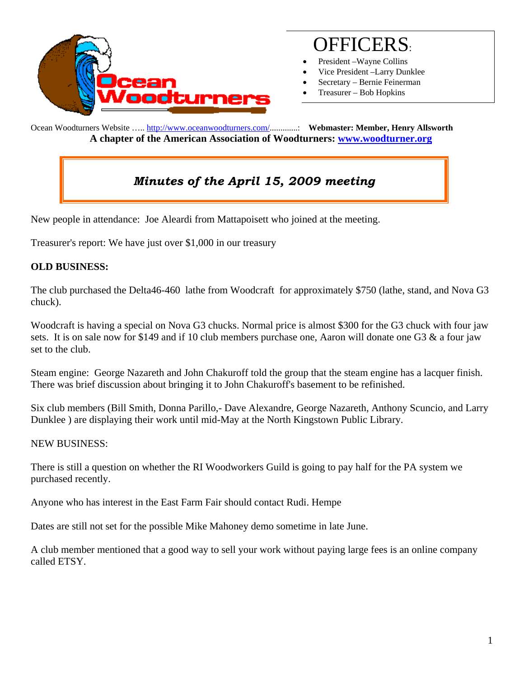

# OFFICERS:

- President Wayne Collins
- Vice President –Larry Dunklee
- Secretary Bernie Feinerman
- Treasurer Bob Hopkins

Ocean Woodturners Website ….. http://www.oceanwoodturners.com/.............: **Webmaster: Member, Henry Allsworth A chapter of the American Association of Woodturners: www.woodturner.org** 

## *Minutes of the April 15, 2009 meeting*

New people in attendance: Joe Aleardi from Mattapoisett who joined at the meeting.

Treasurer's report: We have just over \$1,000 in our treasury

### **OLD BUSINESS:**

The club purchased the Delta46-460 lathe from Woodcraft for approximately \$750 (lathe, stand, and Nova G3 chuck).

Woodcraft is having a special on Nova G3 chucks. Normal price is almost \$300 for the G3 chuck with four jaw sets. It is on sale now for \$149 and if 10 club members purchase one, Aaron will donate one G3 & a four jaw set to the club.

Steam engine: George Nazareth and John Chakuroff told the group that the steam engine has a lacquer finish. There was brief discussion about bringing it to John Chakuroff's basement to be refinished.

Six club members (Bill Smith, Donna Parillo,- Dave Alexandre, George Nazareth, Anthony Scuncio, and Larry Dunklee ) are displaying their work until mid-May at the North Kingstown Public Library.

### NEW BUSINESS:

There is still a question on whether the RI Woodworkers Guild is going to pay half for the PA system we purchased recently.

Anyone who has interest in the East Farm Fair should contact Rudi. Hempe

Dates are still not set for the possible Mike Mahoney demo sometime in late June.

A club member mentioned that a good way to sell your work without paying large fees is an online company called ETSY.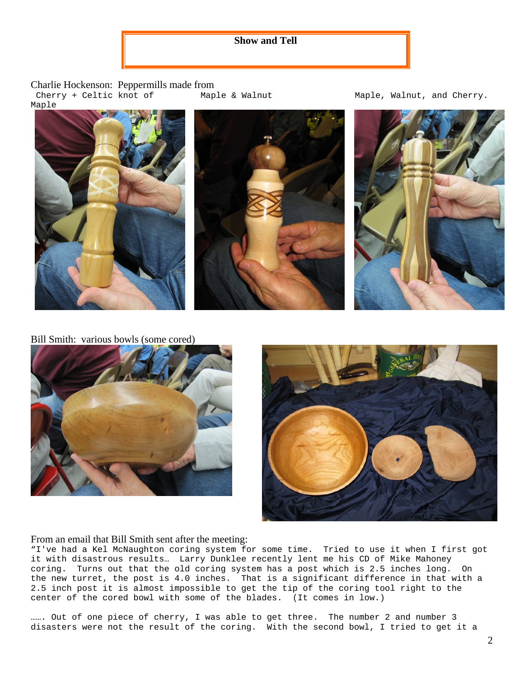### **Show and Tell**

Charlie Hockenson: Peppermills made from Cherry + Celtic knot of Maple





Maple & Walnut Maple, Walnut, and Cherry.



Bill Smith: various bowls (some cored)





#### From an email that Bill Smith sent after the meeting:

"I've had a Kel McNaughton coring system for some time. Tried to use it when I first got it with disastrous results… Larry Dunklee recently lent me his CD of Mike Mahoney coring. Turns out that the old coring system has a post which is 2.5 inches long. On the new turret, the post is 4.0 inches. That is a significant difference in that with a 2.5 inch post it is almost impossible to get the tip of the coring tool right to the center of the cored bowl with some of the blades. (It comes in low.)

……. Out of one piece of cherry, I was able to get three. The number 2 and number 3 disasters were not the result of the coring. With the second bowl, I tried to get it a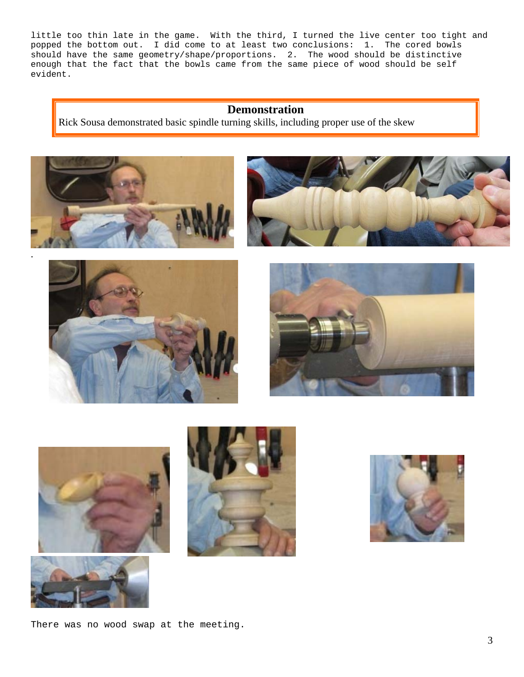little too thin late in the game. With the third, I turned the live center too tight and popped the bottom out. I did come to at least two conclusions: 1. The cored bowls should have the same geometry/shape/proportions. 2. The wood should be distinctive enough that the fact that the bowls came from the same piece of wood should be self evident.

#### **Demonstration**

Rick Sousa demonstrated basic spindle turning skills, including proper use of the skew

















There was no wood swap at the meeting.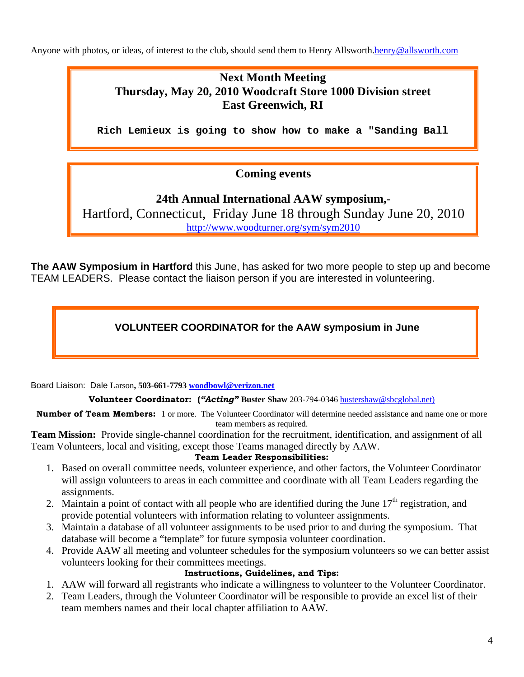Anyone with photos, or ideas, of interest to the club, should send them to Henry Allsworth.henry@allsworth.com

### **Next Month Meeting Thursday, May 20, 2010 Woodcraft Store 1000 Division street East Greenwich, RI**

**Rich Lemieux is going to show how to make a "Sanding Ball** 

### **Coming events**

**24th Annual International AAW symposium,-**  Hartford, Connecticut, Friday June 18 through Sunday June 20, 2010 http://www.woodturner.org/sym/sym2010

**The AAW Symposium in Hartford** this June, has asked for two more people to step up and become TEAM LEADERS. Please contact the liaison person if you are interested in volunteering.

### **VOLUNTEER COORDINATOR for the AAW symposium in June**

Board Liaison: Dale Larson**, 503-661-7793 woodbowl@verizon.net**

**Volunteer Coordinator: (***"Acting"* **Buster Shaw** 203-794-0346 bustershaw@sbcglobal.net)

**Number of Team Members:** 1 or more. The Volunteer Coordinator will determine needed assistance and name one or more team members as required.

**Team Mission:** Provide single-channel coordination for the recruitment, identification, and assignment of all Team Volunteers, local and visiting, except those Teams managed directly by AAW.

#### **Team Leader Responsibilities:**

- 1. Based on overall committee needs, volunteer experience, and other factors, the Volunteer Coordinator will assign volunteers to areas in each committee and coordinate with all Team Leaders regarding the assignments.
- 2. Maintain a point of contact with all people who are identified during the June  $17<sup>th</sup>$  registration, and provide potential volunteers with information relating to volunteer assignments.
- 3. Maintain a database of all volunteer assignments to be used prior to and during the symposium. That database will become a "template" for future symposia volunteer coordination.
- 4. Provide AAW all meeting and volunteer schedules for the symposium volunteers so we can better assist volunteers looking for their committees meetings.

### **Instructions, Guidelines, and Tips:**

- 1. AAW will forward all registrants who indicate a willingness to volunteer to the Volunteer Coordinator.
- 2. Team Leaders, through the Volunteer Coordinator will be responsible to provide an excel list of their team members names and their local chapter affiliation to AAW.